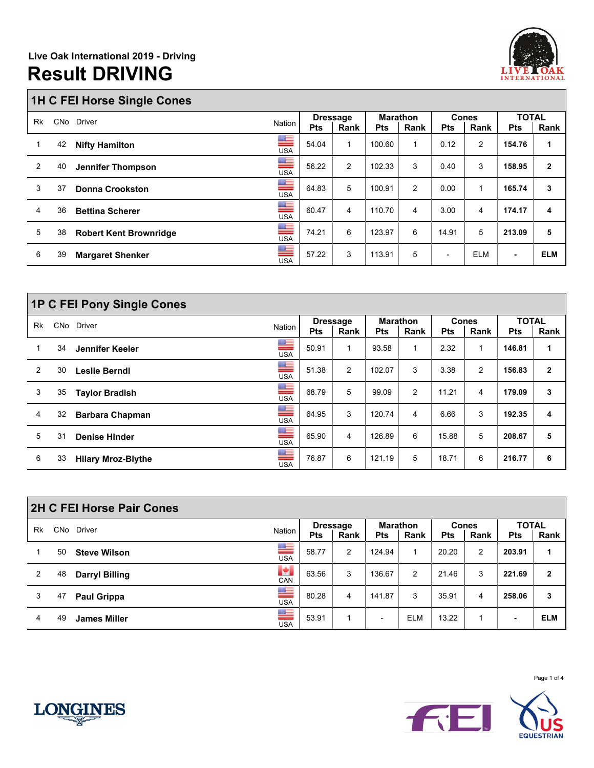

## **1H C FEI Horse Single Cones**

|    |            | $\tilde{\phantom{a}}$         |                          |            |                 |            |                 |                |                |              |              |
|----|------------|-------------------------------|--------------------------|------------|-----------------|------------|-----------------|----------------|----------------|--------------|--------------|
| Rk | <b>CNo</b> | <b>Driver</b>                 |                          |            | <b>Dressage</b> |            | <b>Marathon</b> | <b>Cones</b>   |                | <b>TOTAL</b> |              |
|    |            |                               | Nation                   | <b>Pts</b> | Rank            | <b>Pts</b> | Rank            | <b>Pts</b>     | Rank           | <b>Pts</b>   | Rank         |
| 1  | 42         | <b>Nifty Hamilton</b>         | ▀<br><b>USA</b>          | 54.04      | 1               | 100.60     |                 | 0.12           | $\overline{2}$ | 154.76       | 1            |
| 2  | 40         | Jennifer Thompson             | <u>an </u><br><b>USA</b> | 56.22      | $\overline{2}$  | 102.33     | 3               | 0.40           | 3              | 158.95       | $\mathbf{2}$ |
| 3  | 37         | <b>Donna Crookston</b>        | ▀<br><b>USA</b>          | 64.83      | 5               | 100.91     | 2               | 0.00           | 1              | 165.74       | 3            |
| 4  | 36         | <b>Bettina Scherer</b>        | ▀<br><b>USA</b>          | 60.47      | 4               | 110.70     | 4               | 3.00           | 4              | 174.17       | 4            |
| 5  | 38         | <b>Robert Kent Brownridge</b> | ▀<br><b>USA</b>          | 74.21      | 6               | 123.97     | 6               | 14.91          | 5              | 213.09       | 5            |
| 6  | 39         | <b>Margaret Shenker</b>       | ▀<br><b>USA</b>          | 57.22      | 3               | 113.91     | 5               | $\blacksquare$ | <b>ELM</b>     |              | <b>ELM</b>   |

|    |    | <b>1P C FEI Pony Single Cones</b> |                  |                 |                |                 |                |            |              |              |              |
|----|----|-----------------------------------|------------------|-----------------|----------------|-----------------|----------------|------------|--------------|--------------|--------------|
| Rk |    | CNo Driver                        | Nation           | <b>Dressage</b> |                | <b>Marathon</b> |                |            | <b>Cones</b> | <b>TOTAL</b> |              |
|    |    |                                   |                  | <b>Pts</b>      | Rank           | <b>Pts</b>      | Rank           | <b>Pts</b> | Rank         | <b>Pts</b>   | Rank         |
|    | 34 | Jennifer Keeler                   | ▀<br><b>USA</b>  | 50.91           | 1              | 93.58           | -1             | 2.32       |              | 146.81       | 1            |
| 2  | 30 | Leslie Berndl                     | ▀<br><b>USA</b>  | 51.38           | $\overline{2}$ | 102.07          | 3              | 3.38       | 2            | 156.83       | $\mathbf{2}$ |
| 3  | 35 | <b>Taylor Bradish</b>             | ▀<br><b>USA</b>  | 68.79           | 5              | 99.09           | $\overline{2}$ | 11.21      | 4            | 179.09       | 3            |
| 4  | 32 | <b>Barbara Chapman</b>            | ▀<br><b>USA</b>  | 64.95           | 3              | 120.74          | $\overline{4}$ | 6.66       | 3            | 192.35       | 4            |
| 5  | 31 | <b>Denise Hinder</b>              | ▆▆<br><b>USA</b> | 65.90           | 4              | 126.89          | 6              | 15.88      | 5            | 208.67       | 5            |
| 6  | 33 | <b>Hilary Mroz-Blythe</b>         | ▀<br><b>USA</b>  | 76.87           | 6              | 121.19          | 5              | 18.71      | 6            | 216.77       | 6            |

|    |     | 2H C FEI Horse Pair Cones |                               |            |                         |                          |                         |            |                      |                            |              |
|----|-----|---------------------------|-------------------------------|------------|-------------------------|--------------------------|-------------------------|------------|----------------------|----------------------------|--------------|
| Rk | CNo | Driver                    | Nation                        | <b>Pts</b> | <b>Dressage</b><br>Rank | Pts                      | <b>Marathon</b><br>Rank | <b>Pts</b> | <b>Cones</b><br>Rank | <b>TOTAL</b><br><b>Pts</b> | Rank         |
|    | 50  | <b>Steve Wilson</b>       | ▀<br><b>USA</b>               | 58.77      | 2                       | 124.94                   | 1                       | 20.20      | 2                    | 203.91                     |              |
| 2  | 48  | <b>Darryl Billing</b>     | $\left  \cdot \right $<br>CAN | 63.56      | 3                       | 136.67                   | 2                       | 21.46      | 3                    | 221.69                     | $\mathbf{2}$ |
| 3  | 47  | <b>Paul Grippa</b>        | ▀<br><b>USA</b>               | 80.28      | 4                       | 141.87                   | 3                       | 35.91      | 4                    | 258.06                     | 3            |
| 4  | 49  | <b>James Miller</b>       | ▀<br><b>USA</b>               | 53.91      |                         | $\overline{\phantom{0}}$ | <b>ELM</b>              | 13.22      |                      |                            | <b>ELM</b>   |



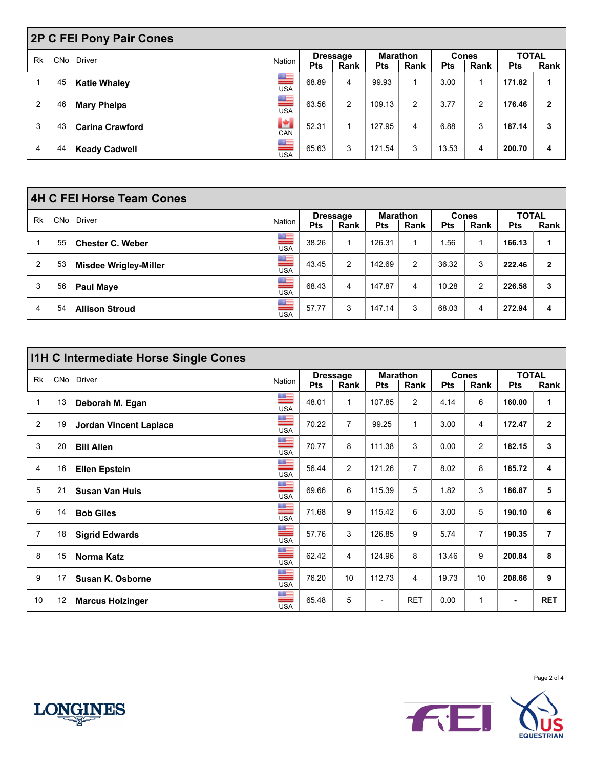|    |    | <b>2P C FEI Pony Pair Cones</b> |                                                                                                                                                                                                                                                                                                                                                                                                                     |            |                         |            |                         |            |                      |                            |              |
|----|----|---------------------------------|---------------------------------------------------------------------------------------------------------------------------------------------------------------------------------------------------------------------------------------------------------------------------------------------------------------------------------------------------------------------------------------------------------------------|------------|-------------------------|------------|-------------------------|------------|----------------------|----------------------------|--------------|
| Rk |    | CNo Driver                      | Nation                                                                                                                                                                                                                                                                                                                                                                                                              | <b>Pts</b> | <b>Dressage</b><br>Rank | <b>Pts</b> | <b>Marathon</b><br>Rank | <b>Pts</b> | <b>Cones</b><br>Rank | <b>TOTAL</b><br><b>Pts</b> | Rank         |
|    | 45 | <b>Katie Whaley</b>             | ▀<br><b>USA</b>                                                                                                                                                                                                                                                                                                                                                                                                     | 68.89      | 4                       | 99.93      |                         | 3.00       |                      | 171.82                     | 1            |
| 2  | 46 | <b>Mary Phelps</b>              | ▀<br><b>USA</b>                                                                                                                                                                                                                                                                                                                                                                                                     | 63.56      | 2                       | 109.13     | 2                       | 3.77       | 2                    | 176.46                     | $\mathbf{2}$ |
| 3  | 43 | <b>Carina Crawford</b>          | P.<br>CAN                                                                                                                                                                                                                                                                                                                                                                                                           | 52.31      |                         | 127.95     | 4                       | 6.88       | 3                    | 187.14                     | 3            |
| 4  | 44 | <b>Keady Cadwell</b>            | $\frac{1}{\frac{1}{\sqrt{1}}\sqrt{1-\frac{1}{2}}\sqrt{1-\frac{1}{2}}\sqrt{1-\frac{1}{2}}\sqrt{1-\frac{1}{2}}\sqrt{1-\frac{1}{2}}\sqrt{1-\frac{1}{2}}\sqrt{1-\frac{1}{2}}\sqrt{1-\frac{1}{2}}\sqrt{1-\frac{1}{2}}\sqrt{1-\frac{1}{2}}\sqrt{1-\frac{1}{2}}\sqrt{1-\frac{1}{2}}\sqrt{1-\frac{1}{2}}\sqrt{1-\frac{1}{2}}\sqrt{1-\frac{1}{2}}\sqrt{1-\frac{1}{2}}\sqrt{1-\frac{1}{2}}\sqrt{1-\frac{1}{2}}\sqrt{1-\frac{$ | 65.63      | 3                       | 121.54     | 3                       | 13.53      | 4                    | 200.70                     | 4            |

|                |    | <b>4H C FEI Horse Team Cones</b> |                       |            |                         |            |                         |            |                      |                            |              |
|----------------|----|----------------------------------|-----------------------|------------|-------------------------|------------|-------------------------|------------|----------------------|----------------------------|--------------|
| Rk             |    | CNo Driver                       | Nation                | <b>Pts</b> | <b>Dressage</b><br>Rank | <b>Pts</b> | <b>Marathon</b><br>Rank | <b>Pts</b> | <b>Cones</b><br>Rank | <b>TOTAL</b><br><b>Pts</b> | Rank         |
|                | 55 | <b>Chester C. Weber</b>          | $\frac{1}{\sqrt{10}}$ | 38.26      |                         | 126.31     |                         | .56        |                      | 166.13                     |              |
| $\overline{2}$ | 53 | <b>Misdee Wrigley-Miller</b>     | ▀<br><b>USA</b>       | 43.45      | 2                       | 142.69     | 2                       | 36.32      | 3                    | 222.46                     | $\mathbf{2}$ |
| 3              | 56 | <b>Paul Maye</b>                 | ▀<br><b>USA</b>       | 68.43      | 4                       | 147.87     | 4                       | 10.28      | 2                    | 226.58                     | 3            |
| 4              | 54 | <b>Allison Stroud</b>            | ▀<br><b>USA</b>       | 57.77      | 3                       | 147.14     | 3                       | 68.03      | 4                    | 272.94                     | 4            |

|                |    | <b>I1H C Intermediate Horse Single Cones</b> |                 |       |                         |                |                         |            |                      |                            |              |
|----------------|----|----------------------------------------------|-----------------|-------|-------------------------|----------------|-------------------------|------------|----------------------|----------------------------|--------------|
| <b>Rk</b>      |    | CNo Driver                                   | Nation          | Pts   | <b>Dressage</b><br>Rank | <b>Pts</b>     | <b>Marathon</b><br>Rank | <b>Pts</b> | <b>Cones</b><br>Rank | <b>TOTAL</b><br><b>Pts</b> | Rank         |
| $\mathbf{1}$   | 13 | Deborah M. Egan                              | ▀<br><b>USA</b> | 48.01 | 1                       | 107.85         | $\overline{2}$          | 4.14       | 6                    | 160.00                     | 1            |
| $\overline{2}$ | 19 | Jordan Vincent Laplaca                       | ▀<br><b>USA</b> | 70.22 | $\overline{7}$          | 99.25          | $\mathbf{1}$            | 3.00       | 4                    | 172.47                     | $\mathbf{2}$ |
| 3              | 20 | <b>Bill Allen</b>                            | ▀<br><b>USA</b> | 70.77 | 8                       | 111.38         | 3                       | 0.00       | 2                    | 182.15                     | 3            |
| 4              | 16 | <b>Ellen Epstein</b>                         | ≡<br><b>USA</b> | 56.44 | 2                       | 121.26         | $\overline{7}$          | 8.02       | 8                    | 185.72                     | 4            |
| 5              | 21 | <b>Susan Van Huis</b>                        | ≡<br><b>USA</b> | 69.66 | 6                       | 115.39         | 5                       | 1.82       | 3                    | 186.87                     | 5            |
| 6              | 14 | <b>Bob Giles</b>                             | ≡<br><b>USA</b> | 71.68 | 9                       | 115.42         | 6                       | 3.00       | 5                    | 190.10                     | 6            |
| $\overline{7}$ | 18 | <b>Sigrid Edwards</b>                        | ≡<br><b>USA</b> | 57.76 | 3                       | 126.85         | 9                       | 5.74       | $\overline{7}$       | 190.35                     | 7            |
| 8              | 15 | Norma Katz                                   | ▀<br><b>USA</b> | 62.42 | 4                       | 124.96         | 8                       | 13.46      | 9                    | 200.84                     | 8            |
| 9              | 17 | Susan K. Osborne                             | ≡<br><b>USA</b> | 76.20 | 10                      | 112.73         | 4                       | 19.73      | 10                   | 208.66                     | 9            |
| 10             | 12 | <b>Marcus Holzinger</b>                      | ▀<br><b>USA</b> | 65.48 | 5                       | $\overline{a}$ | <b>RET</b>              | 0.00       | $\mathbf{1}$         | $\blacksquare$             | <b>RET</b>   |





Page 2 of 4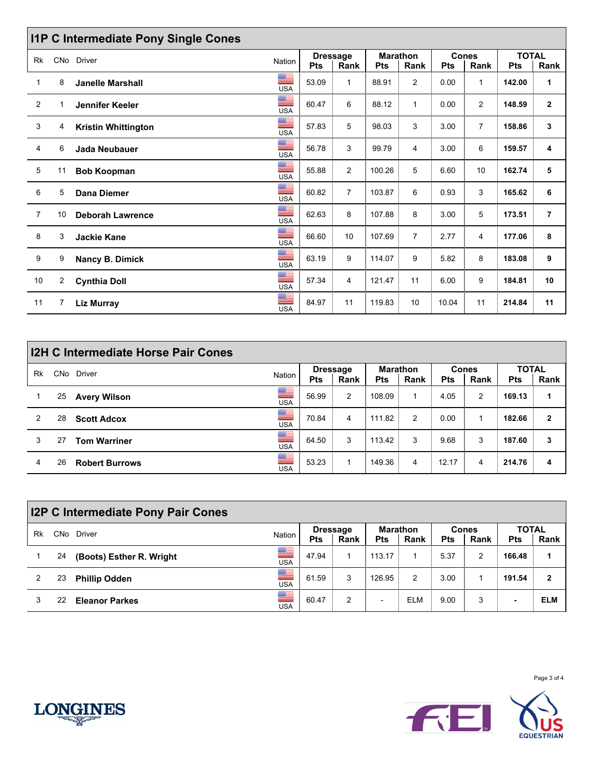|                |                | <b>I1P C Intermediate Pony Single Cones</b> |                       |            |                         |                               |                |            |                      |                            |                |
|----------------|----------------|---------------------------------------------|-----------------------|------------|-------------------------|-------------------------------|----------------|------------|----------------------|----------------------------|----------------|
| <b>Rk</b>      | CNo            | <b>Driver</b>                               | <b>Nation</b>         | <b>Pts</b> | <b>Dressage</b><br>Rank | <b>Marathon</b><br><b>Pts</b> | Rank           | <b>Pts</b> | <b>Cones</b><br>Rank | <b>TOTAL</b><br><b>Pts</b> | Rank           |
| 1              | 8              | <b>Janelle Marshall</b>                     | ▀<br><b>USA</b>       | 53.09      | $\mathbf{1}$            | 88.91                         | 2              | 0.00       | $\mathbf{1}$         | 142.00                     | $\mathbf{1}$   |
| 2              |                | Jennifer Keeler                             | ≡<br><b>USA</b>       | 60.47      | 6                       | 88.12                         | $\mathbf{1}$   | 0.00       | $\overline{2}$       | 148.59                     | $\mathbf{2}$   |
| 3              | 4              | <b>Kristin Whittington</b>                  | ▀<br><b>USA</b>       | 57.83      | 5                       | 98.03                         | 3              | 3.00       | $\overline{7}$       | 158.86                     | 3              |
| 4              | 6              | Jada Neubauer                               | $\frac{1}{\sqrt{10}}$ | 56.78      | 3                       | 99.79                         | 4              | 3.00       | 6                    | 159.57                     | 4              |
| 5              | 11             | <b>Bob Koopman</b>                          | ≣<br><b>USA</b>       | 55.88      | $\overline{2}$          | 100.26                        | 5              | 6.60       | 10                   | 162.74                     | 5              |
| 6              | 5              | <b>Dana Diemer</b>                          | ▀<br><b>USA</b>       | 60.82      | $\overline{7}$          | 103.87                        | 6              | 0.93       | 3                    | 165.62                     | 6              |
| $\overline{7}$ | 10             | <b>Deborah Lawrence</b>                     | ≡<br><b>USA</b>       | 62.63      | 8                       | 107.88                        | 8              | 3.00       | 5                    | 173.51                     | $\overline{7}$ |
| 8              | 3              | <b>Jackie Kane</b>                          | ▀<br><b>USA</b>       | 66.60      | 10                      | 107.69                        | $\overline{7}$ | 2.77       | 4                    | 177.06                     | 8              |
| 9              | 9              | Nancy B. Dimick                             | ≣<br><b>USA</b>       | 63.19      | 9                       | 114.07                        | 9              | 5.82       | 8                    | 183.08                     | 9              |
| 10             | $\overline{2}$ | <b>Cynthia Doll</b>                         | ▀<br><b>USA</b>       | 57.34      | 4                       | 121.47                        | 11             | 6.00       | 9                    | 184.81                     | 10             |
| 11             | 7              | <b>Liz Murray</b>                           | ≣<br><b>USA</b>       | 84.97      | 11                      | 119.83                        | 10             | 10.04      | 11                   | 214.84                     | 11             |

|    |            | <b>I2H C Intermediate Horse Pair Cones</b> |                 |            |                 |                 |      |            |              |              |              |
|----|------------|--------------------------------------------|-----------------|------------|-----------------|-----------------|------|------------|--------------|--------------|--------------|
| Rk | <b>CNo</b> | Driver                                     | Nation          |            | <b>Dressage</b> | <b>Marathon</b> |      |            | <b>Cones</b> | <b>TOTAL</b> |              |
|    |            |                                            |                 | <b>Pts</b> | Rank            | <b>Pts</b>      | Rank | <b>Pts</b> | Rank         | <b>Pts</b>   | Rank         |
|    | 25         | <b>Avery Wilson</b>                        | ▀<br><b>USA</b> | 56.99      | 2               | 108.09          |      | 4.05       | 2            | 169.13       | 1            |
| 2  | 28         | <b>Scott Adcox</b>                         | ▀<br><b>USA</b> | 70.84      | 4               | 111.82          | 2    | 0.00       |              | 182.66       | $\mathbf{2}$ |
| 3  | 27         | <b>Tom Warriner</b>                        | ▀<br><b>USA</b> | 64.50      | 3               | 113.42          | 3    | 9.68       | 3            | 187.60       | 3            |
| 4  | 26         | <b>Robert Burrows</b>                      | ▀<br><b>USA</b> | 53.23      |                 | 149.36          | 4    | 12.17      | 4            | 214.76       | 4            |

|    |            | <b>I2P C Intermediate Pony Pair Cones</b> |                 |            |                         |            |                         |            |                      |                            |      |
|----|------------|-------------------------------------------|-----------------|------------|-------------------------|------------|-------------------------|------------|----------------------|----------------------------|------|
| Rk | <b>CNo</b> | Driver                                    | Nation          | <b>Pts</b> | <b>Dressage</b><br>Rank | <b>Pts</b> | <b>Marathon</b><br>Rank | <b>Pts</b> | <b>Cones</b><br>Rank | <b>TOTAL</b><br><b>Pts</b> | Rank |
|    | 24         | (Boots) Esther R. Wright                  | ▀<br><b>USA</b> | 47.94      |                         | 113.17     |                         | 5.37       | 2                    | 166.48                     |      |
| 2  | 23         | <b>Phillip Odden</b>                      | ≡<br><b>USA</b> | 61.59      | 3                       | 126.95     | 2                       | 3.00       |                      | 191.54                     | 2    |
| 3  | 22         | <b>Eleanor Parkes</b>                     | ▙<br><b>USA</b> | 60.47      | 2                       | -          | <b>ELM</b>              | 9.00       | 3                    | -                          | ELM  |